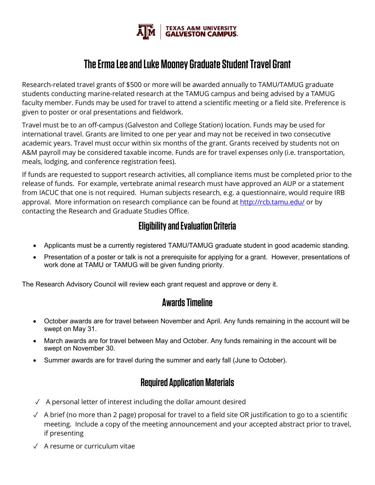

# **The Erma Lee and Luke Mooney Graduate Student Travel Grant**

Research-related travel grants of \$500 or more will be awarded annually to TAMU/TAMUG graduate students conducting marine-related research at the TAMUG campus and being advised by a TAMUG faculty member. Funds may be used for travel to attend a scientific meeting or a field site. Preference is given to poster or oral presentations and fieldwork.

Travel must be to an off-campus (Galveston and College Station) location. Funds may be used for international travel. Grants are limited to one per year and may not be received in two consecutive academic years. Travel must occur within six months of the grant. Grants received by students not on A&M payroll may be considered taxable income. Funds are for travel expenses only (i.e. transportation, meals, lodging, and conference registration fees).

If funds are requested to support research activities, all compliance items must be completed prior to the release of funds. For example, vertebrate animal research must have approved an AUP or a statement from IACUC that one is not required. Human subjects research, e.g. a questionnaire, would require IRB approval. More information on research compliance can be found at<http://rcb.tamu.edu/> or by contacting the Research and Graduate Studies Office.

## **Eligibility and Evaluation Criteria**

- Applicants must be a currently registered TAMU/TAMUG graduate student in good academic standing.
- Presentation of a poster or talk is not a prerequisite for applying for a grant. However, presentations of work done at TAMU or TAMUG will be given funding priority.

The Research Advisory Council will review each grant request and approve or deny it.

### **Awards Timeline**

- October awards are for travel between November and April. Any funds remaining in the account will be swept on May 31.
- March awards are for travel between May and October. Any funds remaining in the account will be swept on November 30.
- Summer awards are for travel during the summer and early fall (June to October).

### **Required Application Materials**

- $\sqrt{ }$  A personal letter of interest including the dollar amount desired
- $\checkmark$  A brief (no more than 2 page) proposal for travel to a field site OR justification to go to a scientific meeting. Include a copy of the meeting announcement and your accepted abstract prior to travel, if presenting
- ✓ A resume or curriculum vitae